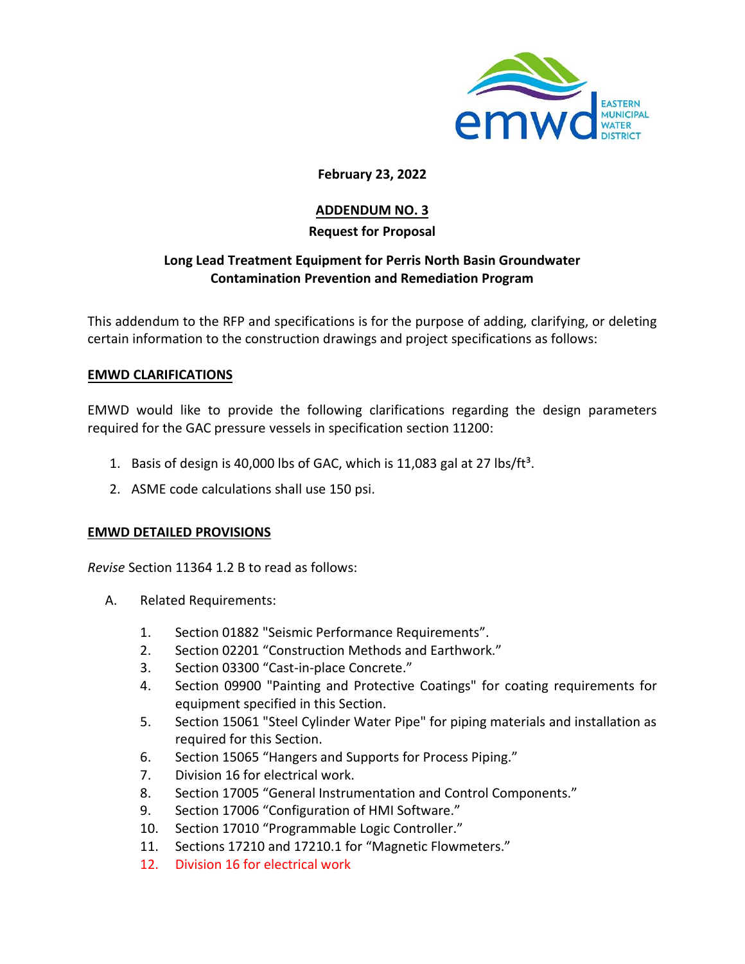

## **February 23, 2022**

# **ADDENDUM NO. 3**

## **Request for Proposal**

## **Long Lead Treatment Equipment for Perris North Basin Groundwater Contamination Prevention and Remediation Program**

This addendum to the RFP and specifications is for the purpose of adding, clarifying, or deleting certain information to the construction drawings and project specifications as follows:

### **EMWD CLARIFICATIONS**

EMWD would like to provide the following clarifications regarding the design parameters required for the GAC pressure vessels in specification section 11200:

- 1. Basis of design is 40,000 lbs of GAC, which is 11,083 gal at 27 lbs/ft<sup>3</sup>.
- 2. ASME code calculations shall use 150 psi.

#### **EMWD DETAILED PROVISIONS**

*Revise* Section 11364 1.2 B to read as follows:

- A. Related Requirements:
	- 1. Section 01882 "Seismic Performance Requirements".
	- 2. Section 02201 "Construction Methods and Earthwork."
	- 3. Section 03300 "Cast-in-place Concrete."
	- 4. Section 09900 "Painting and Protective Coatings" for coating requirements for equipment specified in this Section.
	- 5. Section 15061 "Steel Cylinder Water Pipe" for piping materials and installation as required for this Section.
	- 6. Section 15065 "Hangers and Supports for Process Piping."
	- 7. Division 16 for electrical work.
	- 8. Section 17005 "General Instrumentation and Control Components."
	- 9. Section 17006 "Configuration of HMI Software."
	- 10. Section 17010 "Programmable Logic Controller."
	- 11. Sections 17210 and 17210.1 for "Magnetic Flowmeters."
	- 12. Division 16 for electrical work